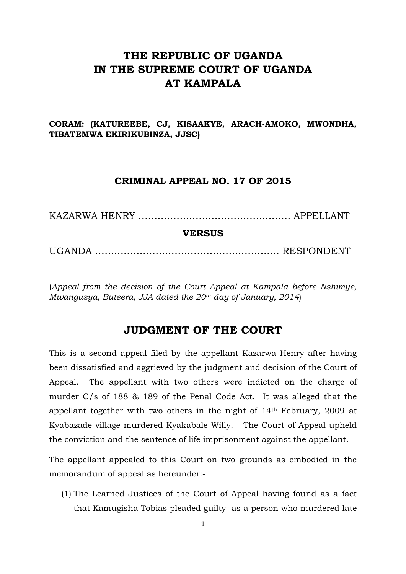# **THE REPUBLIC OF UGANDA IN THE SUPREME COURT OF UGANDA AT KAMPALA**

**CORAM: (KATUREEBE, CJ, KISAAKYE, ARACH-AMOKO, MWONDHA, TIBATEMWA EKIRIKUBINZA, JJSC)**

#### **CRIMINAL APPEAL NO. 17 OF 2015**

KAZARWA HENRY ……….…………….………….……… APPELLANT

#### **VERSUS**

UGANDA ……………………………………………….… RESPONDENT

(*Appeal from the decision of the Court Appeal at Kampala before Nshimye, Mwangusya, Buteera, JJA dated the 20th day of January, 2014*)

### **JUDGMENT OF THE COURT**

This is a second appeal filed by the appellant Kazarwa Henry after having been dissatisfied and aggrieved by the judgment and decision of the Court of Appeal. The appellant with two others were indicted on the charge of murder C/s of 188 & 189 of the Penal Code Act. It was alleged that the appellant together with two others in the night of 14th February, 2009 at Kyabazade village murdered Kyakabale Willy. The Court of Appeal upheld the conviction and the sentence of life imprisonment against the appellant.

The appellant appealed to this Court on two grounds as embodied in the memorandum of appeal as hereunder:-

(1) The Learned Justices of the Court of Appeal having found as a fact that Kamugisha Tobias pleaded guilty as a person who murdered late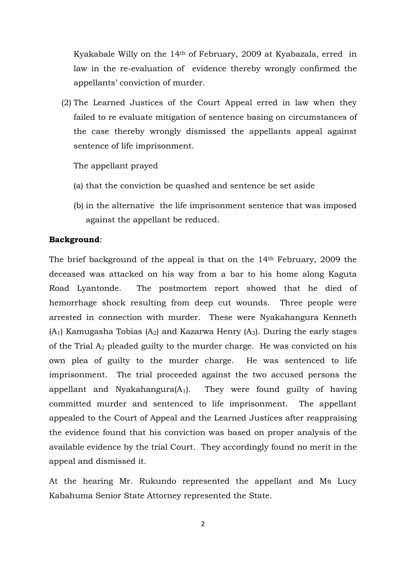Kyakabale Willy on the 14th of February, 2009 at Kyabazala, erred in law in the re-evaluation of evidence thereby wrongly confirmed the appellants' conviction of murder.

(2) The Learned Justices of the Court Appeal erred in law when they failed to re evaluate mitigation of sentence basing on circumstances of the case thereby wrongly dismissed the appellants appeal against sentence of life imprisonment.

The appellant prayed

- (a) that the conviction be quashed and sentence be set aside
- (b) in the alternative the life imprisonment sentence that was imposed against the appellant be reduced.

#### **Background**:

The brief background of the appeal is that on the 14th February, 2009 the deceased was attacked on his way from a bar to his home along Kaguta Road Lyantonde. The postmortem report showed that he died of hemorrhage shock resulting from deep cut wounds. Three people were arrested in connection with murder. These were Nyakahangura Kenneth  $(A_1)$  Kamugasha Tobias  $(A_2)$  and Kazarwa Henry  $(A_3)$ . During the early stages of the Trial A2 pleaded guilty to the murder charge. He was convicted on his own plea of guilty to the murder charge. He was sentenced to life imprisonment. The trial proceeded against the two accused persons the appellant and Nyakahangura $(A_1)$ . They were found guilty of having committed murder and sentenced to life imprisonment. The appellant appealed to the Court of Appeal and the Learned Justices after reappraising the evidence found that his conviction was based on proper analysis of the available evidence by the trial Court. They accordingly found no merit in the appeal and dismissed it.

At the hearing Mr. Rukundo represented the appellant and Ms Lucy Kabahuma Senior State Attorney represented the State.

2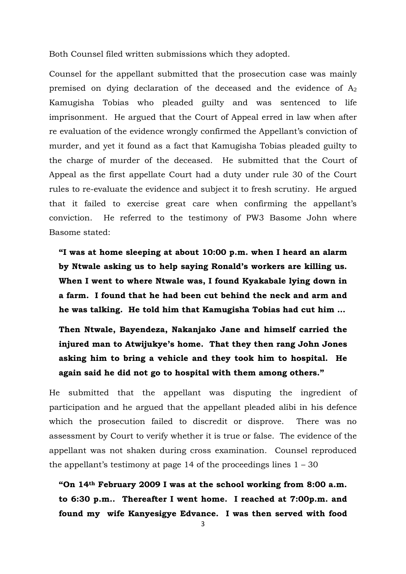Both Counsel filed written submissions which they adopted.

Counsel for the appellant submitted that the prosecution case was mainly premised on dying declaration of the deceased and the evidence of  $A_2$ Kamugisha Tobias who pleaded guilty and was sentenced to life imprisonment. He argued that the Court of Appeal erred in law when after re evaluation of the evidence wrongly confirmed the Appellant's conviction of murder, and yet it found as a fact that Kamugisha Tobias pleaded guilty to the charge of murder of the deceased. He submitted that the Court of Appeal as the first appellate Court had a duty under rule 30 of the Court rules to re-evaluate the evidence and subject it to fresh scrutiny. He argued that it failed to exercise great care when confirming the appellant's conviction. He referred to the testimony of PW3 Basome John where Basome stated:

**"I was at home sleeping at about 10:00 p.m. when I heard an alarm by Ntwale asking us to help saying Ronald's workers are killing us. When I went to where Ntwale was, I found Kyakabale lying down in a farm. I found that he had been cut behind the neck and arm and he was talking. He told him that Kamugisha Tobias had cut him …**

**Then Ntwale, Bayendeza, Nakanjako Jane and himself carried the injured man to Atwijukye's home. That they then rang John Jones asking him to bring a vehicle and they took him to hospital. He again said he did not go to hospital with them among others."**

He submitted that the appellant was disputing the ingredient of participation and he argued that the appellant pleaded alibi in his defence which the prosecution failed to discredit or disprove. There was no assessment by Court to verify whether it is true or false. The evidence of the appellant was not shaken during cross examination. Counsel reproduced the appellant's testimony at page 14 of the proceedings lines  $1 - 30$ 

**"On 14th February 2009 I was at the school working from 8:00 a.m. to 6:30 p.m.. Thereafter I went home. I reached at 7:00p.m. and found my wife Kanyesigye Edvance. I was then served with food**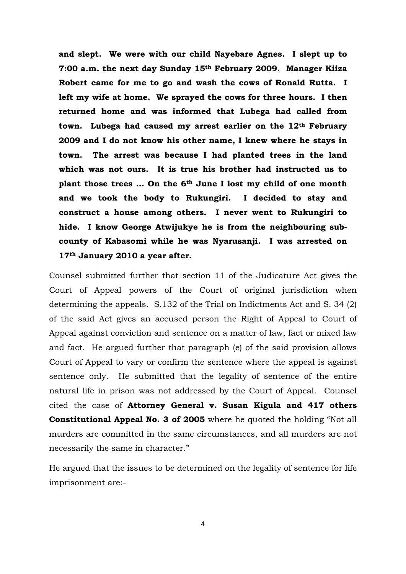**and slept. We were with our child Nayebare Agnes. I slept up to 7:00 a.m. the next day Sunday 15th February 2009. Manager Kiiza Robert came for me to go and wash the cows of Ronald Rutta. I left my wife at home. We sprayed the cows for three hours. I then returned home and was informed that Lubega had called from town. Lubega had caused my arrest earlier on the 12th February 2009 and I do not know his other name, I knew where he stays in town. The arrest was because I had planted trees in the land which was not ours. It is true his brother had instructed us to plant those trees … On the 6th June I lost my child of one month and we took the body to Rukungiri. I decided to stay and construct a house among others. I never went to Rukungiri to hide. I know George Atwijukye he is from the neighbouring subcounty of Kabasomi while he was Nyarusanji. I was arrested on 17th January 2010 a year after.** 

Counsel submitted further that section 11 of the Judicature Act gives the Court of Appeal powers of the Court of original jurisdiction when determining the appeals. S.132 of the Trial on Indictments Act and S. 34 (2) of the said Act gives an accused person the Right of Appeal to Court of Appeal against conviction and sentence on a matter of law, fact or mixed law and fact. He argued further that paragraph (e) of the said provision allows Court of Appeal to vary or confirm the sentence where the appeal is against sentence only. He submitted that the legality of sentence of the entire natural life in prison was not addressed by the Court of Appeal. Counsel cited the case of **Attorney General v. Susan Kigula and 417 others Constitutional Appeal No. 3 of 2005** where he quoted the holding "Not all murders are committed in the same circumstances, and all murders are not necessarily the same in character."

He argued that the issues to be determined on the legality of sentence for life imprisonment are:-

4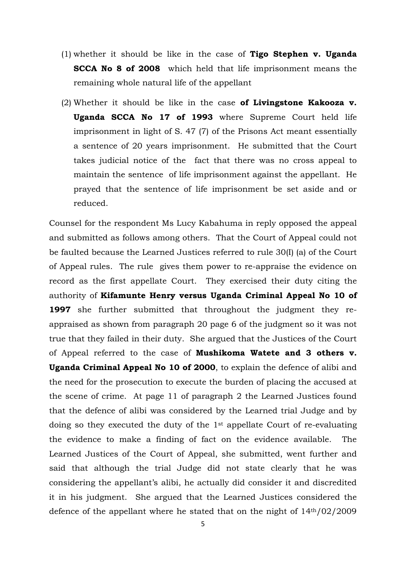- (1) whether it should be like in the case of **Tigo Stephen v. Uganda SCCA No 8 of 2008** which held that life imprisonment means the remaining whole natural life of the appellant
- (2) Whether it should be like in the case **of Livingstone Kakooza v. Uganda SCCA No 17 of 1993** where Supreme Court held life imprisonment in light of S. 47 (7) of the Prisons Act meant essentially a sentence of 20 years imprisonment. He submitted that the Court takes judicial notice of the fact that there was no cross appeal to maintain the sentence of life imprisonment against the appellant. He prayed that the sentence of life imprisonment be set aside and or reduced.

Counsel for the respondent Ms Lucy Kabahuma in reply opposed the appeal and submitted as follows among others. That the Court of Appeal could not be faulted because the Learned Justices referred to rule 30(I) (a) of the Court of Appeal rules. The rule gives them power to re-appraise the evidence on record as the first appellate Court. They exercised their duty citing the authority of **Kifamunte Henry versus Uganda Criminal Appeal No 10 of 1997** she further submitted that throughout the judgment they reappraised as shown from paragraph 20 page 6 of the judgment so it was not true that they failed in their duty. She argued that the Justices of the Court of Appeal referred to the case of **Mushikoma Watete and 3 others v. Uganda Criminal Appeal No 10 of 2000**, to explain the defence of alibi and the need for the prosecution to execute the burden of placing the accused at the scene of crime. At page 11 of paragraph 2 the Learned Justices found that the defence of alibi was considered by the Learned trial Judge and by doing so they executed the duty of the 1st appellate Court of re-evaluating the evidence to make a finding of fact on the evidence available. The Learned Justices of the Court of Appeal, she submitted, went further and said that although the trial Judge did not state clearly that he was considering the appellant's alibi, he actually did consider it and discredited it in his judgment. She argued that the Learned Justices considered the defence of the appellant where he stated that on the night of  $14<sup>th</sup>/02/2009$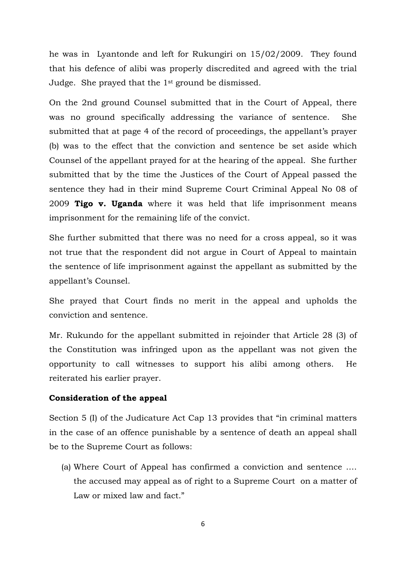he was in Lyantonde and left for Rukungiri on 15/02/2009. They found that his defence of alibi was properly discredited and agreed with the trial Judge. She prayed that the 1st ground be dismissed.

On the 2nd ground Counsel submitted that in the Court of Appeal, there was no ground specifically addressing the variance of sentence. She submitted that at page 4 of the record of proceedings, the appellant's prayer (b) was to the effect that the conviction and sentence be set aside which Counsel of the appellant prayed for at the hearing of the appeal. She further submitted that by the time the Justices of the Court of Appeal passed the sentence they had in their mind Supreme Court Criminal Appeal No 08 of 2009 **Tigo v. Uganda** where it was held that life imprisonment means imprisonment for the remaining life of the convict.

She further submitted that there was no need for a cross appeal, so it was not true that the respondent did not argue in Court of Appeal to maintain the sentence of life imprisonment against the appellant as submitted by the appellant's Counsel.

She prayed that Court finds no merit in the appeal and upholds the conviction and sentence.

Mr. Rukundo for the appellant submitted in rejoinder that Article 28 (3) of the Constitution was infringed upon as the appellant was not given the opportunity to call witnesses to support his alibi among others. He reiterated his earlier prayer.

#### **Consideration of the appeal**

Section 5 (I) of the Judicature Act Cap 13 provides that "in criminal matters in the case of an offence punishable by a sentence of death an appeal shall be to the Supreme Court as follows:

(a) Where Court of Appeal has confirmed a conviction and sentence …. the accused may appeal as of right to a Supreme Court on a matter of Law or mixed law and fact."

6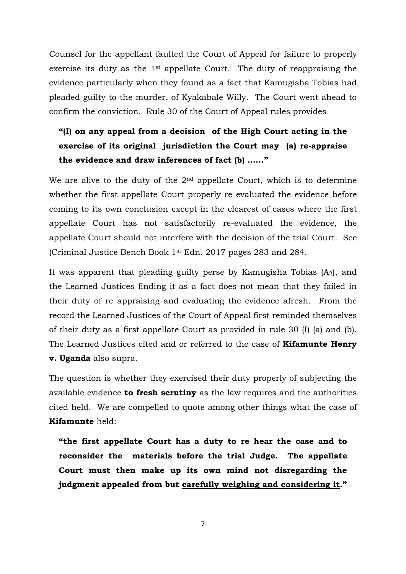Counsel for the appellant faulted the Court of Appeal for failure to properly exercise its duty as the 1st appellate Court. The duty of reappraising the evidence particularly when they found as a fact that Kamugisha Tobias had pleaded guilty to the murder, of Kyakabale Willy. The Court went ahead to confirm the conviction. Rule 30 of the Court of Appeal rules provides

# **"(I) on any appeal from a decision of the High Court acting in the exercise of its original jurisdiction the Court may (a) re-appraise the evidence and draw inferences of fact (b) …..."**

We are alive to the duty of the  $2<sup>nd</sup>$  appellate Court, which is to determine whether the first appellate Court properly re evaluated the evidence before coming to its own conclusion except in the clearest of cases where the first appellate Court has not satisfactorily re-evaluated the evidence, the appellate Court should not interfere with the decision of the trial Court. See (Criminal Justice Bench Book 1st Edn. 2017 pages 283 and 284.

It was apparent that pleading guilty perse by Kamugisha Tobias  $(A_2)$ , and the Learned Justices finding it as a fact does not mean that they failed in their duty of re appraising and evaluating the evidence afresh. From the record the Learned Justices of the Court of Appeal first reminded themselves of their duty as a first appellate Court as provided in rule 30 (I) (a) and (b). The Learned Justices cited and or referred to the case of **Kifamunte Henry v. Uganda** also supra.

The question is whether they exercised their duty properly of subjecting the available evidence **to fresh scrutiny** as the law requires and the authorities cited held. We are compelled to quote among other things what the case of **Kifamunte** held:

**"the first appellate Court has a duty to re hear the case and to reconsider the materials before the trial Judge. The appellate Court must then make up its own mind not disregarding the judgment appealed from but carefully weighing and considering it."**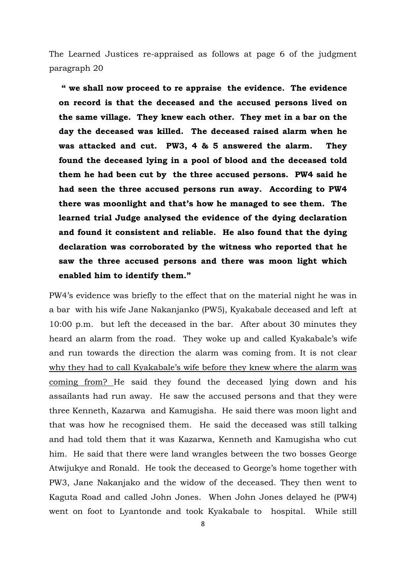The Learned Justices re-appraised as follows at page 6 of the judgment paragraph 20

**" we shall now proceed to re appraise the evidence. The evidence on record is that the deceased and the accused persons lived on the same village. They knew each other. They met in a bar on the day the deceased was killed. The deceased raised alarm when he was attacked and cut. PW3, 4 & 5 answered the alarm. They found the deceased lying in a pool of blood and the deceased told them he had been cut by the three accused persons. PW4 said he had seen the three accused persons run away. According to PW4 there was moonlight and that's how he managed to see them. The learned trial Judge analysed the evidence of the dying declaration and found it consistent and reliable. He also found that the dying declaration was corroborated by the witness who reported that he saw the three accused persons and there was moon light which enabled him to identify them."**

PW4's evidence was briefly to the effect that on the material night he was in a bar with his wife Jane Nakanjanko (PW5), Kyakabale deceased and left at 10:00 p.m. but left the deceased in the bar. After about 30 minutes they heard an alarm from the road. They woke up and called Kyakabale's wife and run towards the direction the alarm was coming from. It is not clear why they had to call Kyakabale's wife before they knew where the alarm was coming from? He said they found the deceased lying down and his assailants had run away. He saw the accused persons and that they were three Kenneth, Kazarwa and Kamugisha. He said there was moon light and that was how he recognised them. He said the deceased was still talking and had told them that it was Kazarwa, Kenneth and Kamugisha who cut him. He said that there were land wrangles between the two bosses George Atwijukye and Ronald. He took the deceased to George's home together with PW3, Jane Nakanjako and the widow of the deceased. They then went to Kaguta Road and called John Jones. When John Jones delayed he (PW4) went on foot to Lyantonde and took Kyakabale to hospital. While still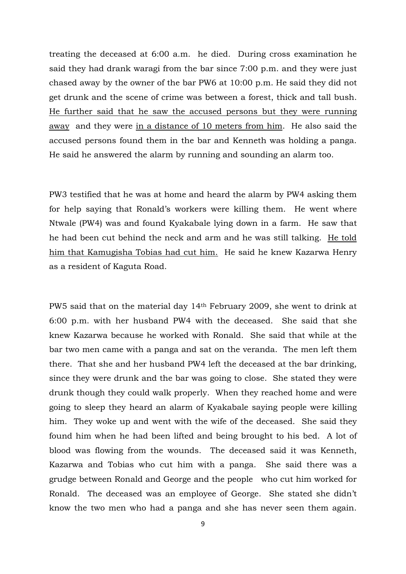treating the deceased at 6:00 a.m. he died. During cross examination he said they had drank waragi from the bar since 7:00 p.m. and they were just chased away by the owner of the bar PW6 at 10:00 p.m. He said they did not get drunk and the scene of crime was between a forest, thick and tall bush. He further said that he saw the accused persons but they were running away and they were in a distance of 10 meters from him. He also said the accused persons found them in the bar and Kenneth was holding a panga. He said he answered the alarm by running and sounding an alarm too.

PW3 testified that he was at home and heard the alarm by PW4 asking them for help saying that Ronald's workers were killing them. He went where Ntwale (PW4) was and found Kyakabale lying down in a farm. He saw that he had been cut behind the neck and arm and he was still talking. He told him that Kamugisha Tobias had cut him. He said he knew Kazarwa Henry as a resident of Kaguta Road.

PW5 said that on the material day 14th February 2009, she went to drink at 6:00 p.m. with her husband PW4 with the deceased. She said that she knew Kazarwa because he worked with Ronald. She said that while at the bar two men came with a panga and sat on the veranda. The men left them there. That she and her husband PW4 left the deceased at the bar drinking, since they were drunk and the bar was going to close. She stated they were drunk though they could walk properly. When they reached home and were going to sleep they heard an alarm of Kyakabale saying people were killing him. They woke up and went with the wife of the deceased. She said they found him when he had been lifted and being brought to his bed. A lot of blood was flowing from the wounds. The deceased said it was Kenneth, Kazarwa and Tobias who cut him with a panga. She said there was a grudge between Ronald and George and the people who cut him worked for Ronald. The deceased was an employee of George. She stated she didn't know the two men who had a panga and she has never seen them again.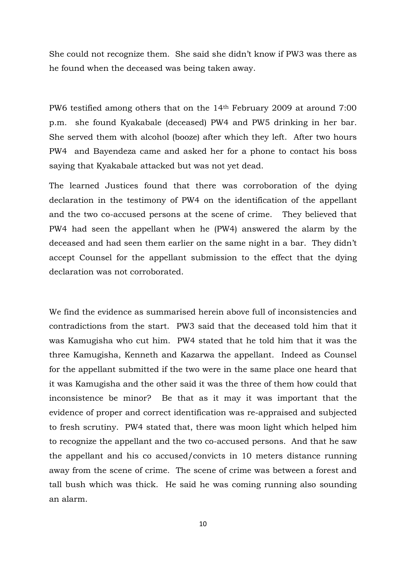She could not recognize them. She said she didn't know if PW3 was there as he found when the deceased was being taken away.

PW6 testified among others that on the 14th February 2009 at around 7:00 p.m. she found Kyakabale (deceased) PW4 and PW5 drinking in her bar. She served them with alcohol (booze) after which they left. After two hours PW4 and Bayendeza came and asked her for a phone to contact his boss saying that Kyakabale attacked but was not yet dead.

The learned Justices found that there was corroboration of the dying declaration in the testimony of PW4 on the identification of the appellant and the two co-accused persons at the scene of crime. They believed that PW4 had seen the appellant when he (PW4) answered the alarm by the deceased and had seen them earlier on the same night in a bar. They didn't accept Counsel for the appellant submission to the effect that the dying declaration was not corroborated.

We find the evidence as summarised herein above full of inconsistencies and contradictions from the start. PW3 said that the deceased told him that it was Kamugisha who cut him. PW4 stated that he told him that it was the three Kamugisha, Kenneth and Kazarwa the appellant. Indeed as Counsel for the appellant submitted if the two were in the same place one heard that it was Kamugisha and the other said it was the three of them how could that inconsistence be minor? Be that as it may it was important that the evidence of proper and correct identification was re-appraised and subjected to fresh scrutiny. PW4 stated that, there was moon light which helped him to recognize the appellant and the two co-accused persons. And that he saw the appellant and his co accused/convicts in 10 meters distance running away from the scene of crime. The scene of crime was between a forest and tall bush which was thick. He said he was coming running also sounding an alarm.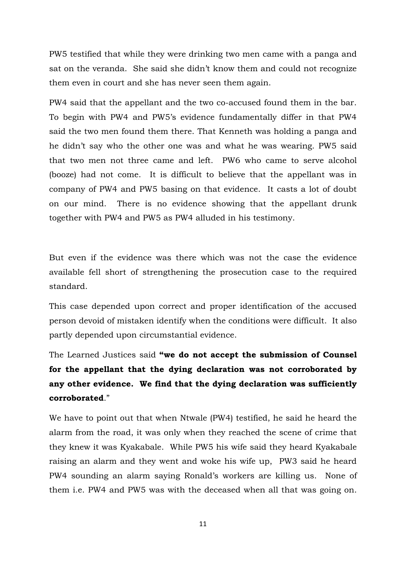PW5 testified that while they were drinking two men came with a panga and sat on the veranda. She said she didn't know them and could not recognize them even in court and she has never seen them again.

PW4 said that the appellant and the two co-accused found them in the bar. To begin with PW4 and PW5's evidence fundamentally differ in that PW4 said the two men found them there. That Kenneth was holding a panga and he didn't say who the other one was and what he was wearing. PW5 said that two men not three came and left. PW6 who came to serve alcohol (booze) had not come. It is difficult to believe that the appellant was in company of PW4 and PW5 basing on that evidence. It casts a lot of doubt on our mind. There is no evidence showing that the appellant drunk together with PW4 and PW5 as PW4 alluded in his testimony.

But even if the evidence was there which was not the case the evidence available fell short of strengthening the prosecution case to the required standard.

This case depended upon correct and proper identification of the accused person devoid of mistaken identify when the conditions were difficult. It also partly depended upon circumstantial evidence.

The Learned Justices said **"we do not accept the submission of Counsel for the appellant that the dying declaration was not corroborated by any other evidence. We find that the dying declaration was sufficiently corroborated**."

We have to point out that when Ntwale (PW4) testified, he said he heard the alarm from the road, it was only when they reached the scene of crime that they knew it was Kyakabale. While PW5 his wife said they heard Kyakabale raising an alarm and they went and woke his wife up, PW3 said he heard PW4 sounding an alarm saying Ronald's workers are killing us. None of them i.e. PW4 and PW5 was with the deceased when all that was going on.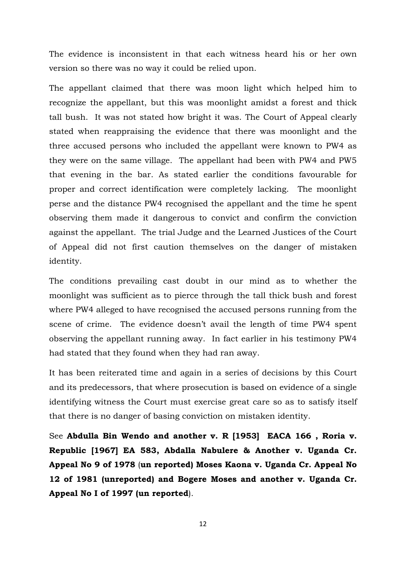The evidence is inconsistent in that each witness heard his or her own version so there was no way it could be relied upon.

The appellant claimed that there was moon light which helped him to recognize the appellant, but this was moonlight amidst a forest and thick tall bush. It was not stated how bright it was. The Court of Appeal clearly stated when reappraising the evidence that there was moonlight and the three accused persons who included the appellant were known to PW4 as they were on the same village. The appellant had been with PW4 and PW5 that evening in the bar. As stated earlier the conditions favourable for proper and correct identification were completely lacking. The moonlight perse and the distance PW4 recognised the appellant and the time he spent observing them made it dangerous to convict and confirm the conviction against the appellant. The trial Judge and the Learned Justices of the Court of Appeal did not first caution themselves on the danger of mistaken identity.

The conditions prevailing cast doubt in our mind as to whether the moonlight was sufficient as to pierce through the tall thick bush and forest where PW4 alleged to have recognised the accused persons running from the scene of crime. The evidence doesn't avail the length of time PW4 spent observing the appellant running away. In fact earlier in his testimony PW4 had stated that they found when they had ran away.

It has been reiterated time and again in a series of decisions by this Court and its predecessors, that where prosecution is based on evidence of a single identifying witness the Court must exercise great care so as to satisfy itself that there is no danger of basing conviction on mistaken identity.

See **Abdulla Bin Wendo and another v. R [1953] EACA 166 , Roria v. Republic [1967] EA 583, Abdalla Nabulere & Another v. Uganda Cr. Appeal No 9 of 1978** (**un reported) Moses Kaona v. Uganda Cr. Appeal No 12 of 1981 (unreported) and Bogere Moses and another v. Uganda Cr. Appeal No I of 1997 (un reported**).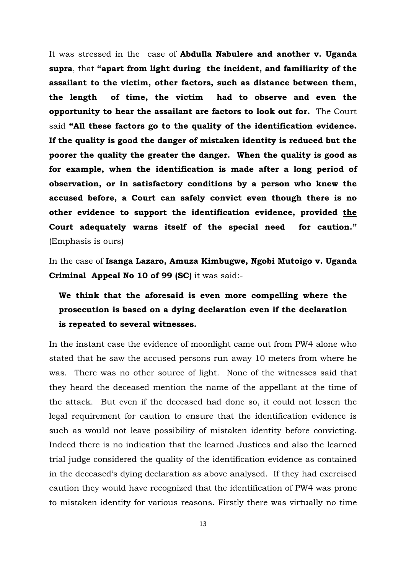It was stressed in the case of **Abdulla Nabulere and another v. Uganda supra**, that **"apart from light during the incident, and familiarity of the assailant to the victim, other factors, such as distance between them, the length of time, the victim had to observe and even the opportunity to hear the assailant are factors to look out for.** The Court said **"All these factors go to the quality of the identification evidence. If the quality is good the danger of mistaken identity is reduced but the poorer the quality the greater the danger. When the quality is good as for example, when the identification is made after a long period of observation, or in satisfactory conditions by a person who knew the accused before, a Court can safely convict even though there is no other evidence to support the identification evidence, provided the Court adequately warns itself of the special need for caution."** (Emphasis is ours)

In the case of **Isanga Lazaro, Amuza Kimbugwe, Ngobi Mutoigo v. Uganda Criminal Appeal No 10 of 99 (SC)** it was said:-

**We think that the aforesaid is even more compelling where the prosecution is based on a dying declaration even if the declaration is repeated to several witnesses.**

In the instant case the evidence of moonlight came out from PW4 alone who stated that he saw the accused persons run away 10 meters from where he was. There was no other source of light. None of the witnesses said that they heard the deceased mention the name of the appellant at the time of the attack. But even if the deceased had done so, it could not lessen the legal requirement for caution to ensure that the identification evidence is such as would not leave possibility of mistaken identity before convicting. Indeed there is no indication that the learned Justices and also the learned trial judge considered the quality of the identification evidence as contained in the deceased's dying declaration as above analysed. If they had exercised caution they would have recognized that the identification of PW4 was prone to mistaken identity for various reasons. Firstly there was virtually no time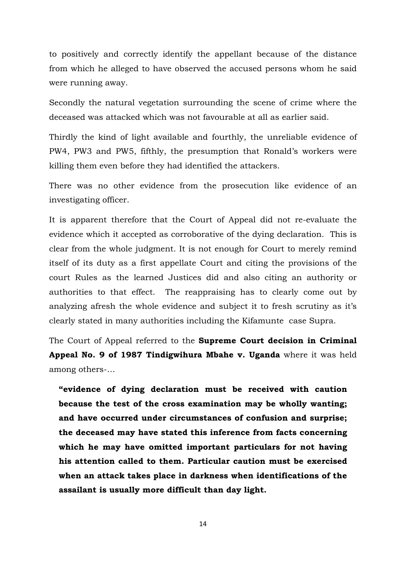to positively and correctly identify the appellant because of the distance from which he alleged to have observed the accused persons whom he said were running away.

Secondly the natural vegetation surrounding the scene of crime where the deceased was attacked which was not favourable at all as earlier said.

Thirdly the kind of light available and fourthly, the unreliable evidence of PW4, PW3 and PW5, fifthly, the presumption that Ronald's workers were killing them even before they had identified the attackers.

There was no other evidence from the prosecution like evidence of an investigating officer.

It is apparent therefore that the Court of Appeal did not re-evaluate the evidence which it accepted as corroborative of the dying declaration. This is clear from the whole judgment. It is not enough for Court to merely remind itself of its duty as a first appellate Court and citing the provisions of the court Rules as the learned Justices did and also citing an authority or authorities to that effect. The reappraising has to clearly come out by analyzing afresh the whole evidence and subject it to fresh scrutiny as it's clearly stated in many authorities including the Kifamunte case Supra.

The Court of Appeal referred to the **Supreme Court decision in Criminal Appeal No. 9 of 1987 Tindigwihura Mbahe v. Uganda** where it was held among others-…

**"evidence of dying declaration must be received with caution because the test of the cross examination may be wholly wanting; and have occurred under circumstances of confusion and surprise; the deceased may have stated this inference from facts concerning which he may have omitted important particulars for not having his attention called to them. Particular caution must be exercised when an attack takes place in darkness when identifications of the assailant is usually more difficult than day light.**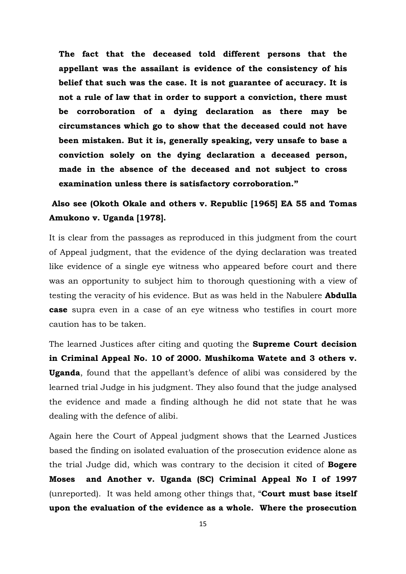**The fact that the deceased told different persons that the appellant was the assailant is evidence of the consistency of his belief that such was the case. It is not guarantee of accuracy. It is not a rule of law that in order to support a conviction, there must be corroboration of a dying declaration as there may be circumstances which go to show that the deceased could not have been mistaken. But it is, generally speaking, very unsafe to base a conviction solely on the dying declaration a deceased person, made in the absence of the deceased and not subject to cross examination unless there is satisfactory corroboration."**

### **Also see (Okoth Okale and others v. Republic [1965] EA 55 and Tomas Amukono v. Uganda [1978].**

It is clear from the passages as reproduced in this judgment from the court of Appeal judgment, that the evidence of the dying declaration was treated like evidence of a single eye witness who appeared before court and there was an opportunity to subject him to thorough questioning with a view of testing the veracity of his evidence. But as was held in the Nabulere **Abdulla case** supra even in a case of an eye witness who testifies in court more caution has to be taken.

The learned Justices after citing and quoting the **Supreme Court decision in Criminal Appeal No. 10 of 2000. Mushikoma Watete and 3 others v. Uganda**, found that the appellant's defence of alibi was considered by the learned trial Judge in his judgment. They also found that the judge analysed the evidence and made a finding although he did not state that he was dealing with the defence of alibi.

Again here the Court of Appeal judgment shows that the Learned Justices based the finding on isolated evaluation of the prosecution evidence alone as the trial Judge did, which was contrary to the decision it cited of **Bogere Moses and Another v. Uganda (SC) Criminal Appeal No I of 1997** (unreported). It was held among other things that, "**Court must base itself upon the evaluation of the evidence as a whole. Where the prosecution**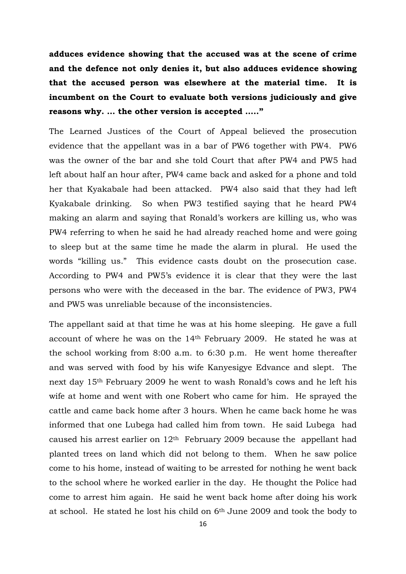**adduces evidence showing that the accused was at the scene of crime and the defence not only denies it, but also adduces evidence showing that the accused person was elsewhere at the material time. It is incumbent on the Court to evaluate both versions judiciously and give reasons why. … the other version is accepted ….."**

The Learned Justices of the Court of Appeal believed the prosecution evidence that the appellant was in a bar of PW6 together with PW4. PW6 was the owner of the bar and she told Court that after PW4 and PW5 had left about half an hour after, PW4 came back and asked for a phone and told her that Kyakabale had been attacked. PW4 also said that they had left Kyakabale drinking. So when PW3 testified saying that he heard PW4 making an alarm and saying that Ronald's workers are killing us, who was PW4 referring to when he said he had already reached home and were going to sleep but at the same time he made the alarm in plural. He used the words "killing us." This evidence casts doubt on the prosecution case. According to PW4 and PW5's evidence it is clear that they were the last persons who were with the deceased in the bar. The evidence of PW3, PW4 and PW5 was unreliable because of the inconsistencies.

The appellant said at that time he was at his home sleeping. He gave a full account of where he was on the 14th February 2009. He stated he was at the school working from 8:00 a.m. to 6:30 p.m. He went home thereafter and was served with food by his wife Kanyesigye Edvance and slept. The next day 15th February 2009 he went to wash Ronald's cows and he left his wife at home and went with one Robert who came for him. He sprayed the cattle and came back home after 3 hours. When he came back home he was informed that one Lubega had called him from town. He said Lubega had caused his arrest earlier on  $12<sup>th</sup>$  February 2009 because the appellant had planted trees on land which did not belong to them. When he saw police come to his home, instead of waiting to be arrested for nothing he went back to the school where he worked earlier in the day. He thought the Police had come to arrest him again. He said he went back home after doing his work at school. He stated he lost his child on 6th June 2009 and took the body to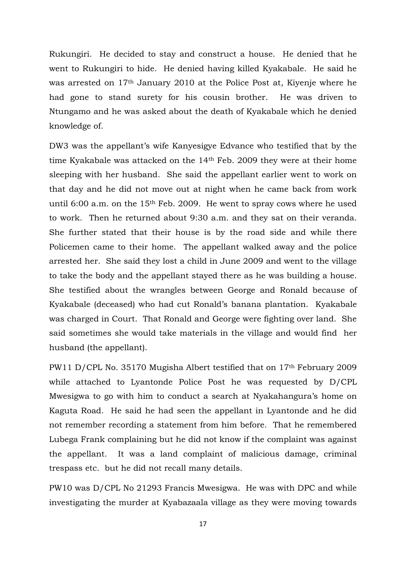Rukungiri. He decided to stay and construct a house. He denied that he went to Rukungiri to hide. He denied having killed Kyakabale. He said he was arrested on 17th January 2010 at the Police Post at, Kiyenje where he had gone to stand surety for his cousin brother. He was driven to Ntungamo and he was asked about the death of Kyakabale which he denied knowledge of.

DW3 was the appellant's wife Kanyesigye Edvance who testified that by the time Kyakabale was attacked on the 14th Feb. 2009 they were at their home sleeping with her husband. She said the appellant earlier went to work on that day and he did not move out at night when he came back from work until 6:00 a.m. on the 15th Feb. 2009. He went to spray cows where he used to work. Then he returned about 9:30 a.m. and they sat on their veranda. She further stated that their house is by the road side and while there Policemen came to their home. The appellant walked away and the police arrested her. She said they lost a child in June 2009 and went to the village to take the body and the appellant stayed there as he was building a house. She testified about the wrangles between George and Ronald because of Kyakabale (deceased) who had cut Ronald's banana plantation. Kyakabale was charged in Court. That Ronald and George were fighting over land. She said sometimes she would take materials in the village and would find her husband (the appellant).

PW11 D/CPL No. 35170 Mugisha Albert testified that on 17th February 2009 while attached to Lyantonde Police Post he was requested by D/CPL Mwesigwa to go with him to conduct a search at Nyakahangura's home on Kaguta Road. He said he had seen the appellant in Lyantonde and he did not remember recording a statement from him before. That he remembered Lubega Frank complaining but he did not know if the complaint was against the appellant. It was a land complaint of malicious damage, criminal trespass etc. but he did not recall many details.

PW10 was D/CPL No 21293 Francis Mwesigwa. He was with DPC and while investigating the murder at Kyabazaala village as they were moving towards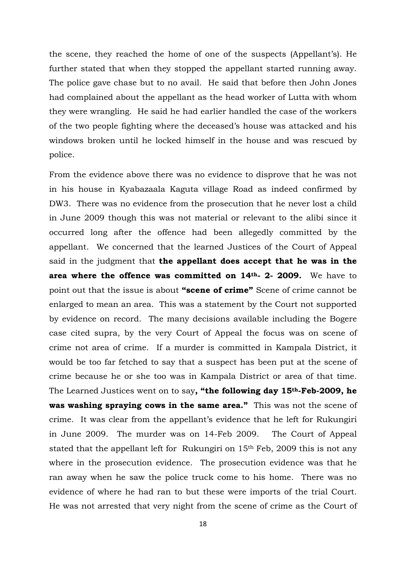the scene, they reached the home of one of the suspects (Appellant's). He further stated that when they stopped the appellant started running away. The police gave chase but to no avail. He said that before then John Jones had complained about the appellant as the head worker of Lutta with whom they were wrangling. He said he had earlier handled the case of the workers of the two people fighting where the deceased's house was attacked and his windows broken until he locked himself in the house and was rescued by police.

From the evidence above there was no evidence to disprove that he was not in his house in Kyabazaala Kaguta village Road as indeed confirmed by DW3. There was no evidence from the prosecution that he never lost a child in June 2009 though this was not material or relevant to the alibi since it occurred long after the offence had been allegedly committed by the appellant. We concerned that the learned Justices of the Court of Appeal said in the judgment that **the appellant does accept that he was in the area where the offence was committed on 14th- 2- 2009.** We have to point out that the issue is about **"scene of crime"** Scene of crime cannot be enlarged to mean an area. This was a statement by the Court not supported by evidence on record. The many decisions available including the Bogere case cited supra, by the very Court of Appeal the focus was on scene of crime not area of crime. If a murder is committed in Kampala District, it would be too far fetched to say that a suspect has been put at the scene of crime because he or she too was in Kampala District or area of that time. The Learned Justices went on to say**, "the following day 15th-Feb-2009, he was washing spraying cows in the same area."** This was not the scene of crime. It was clear from the appellant's evidence that he left for Rukungiri in June 2009. The murder was on 14-Feb 2009. The Court of Appeal stated that the appellant left for Rukungiri on 15th Feb, 2009 this is not any where in the prosecution evidence. The prosecution evidence was that he ran away when he saw the police truck come to his home. There was no evidence of where he had ran to but these were imports of the trial Court. He was not arrested that very night from the scene of crime as the Court of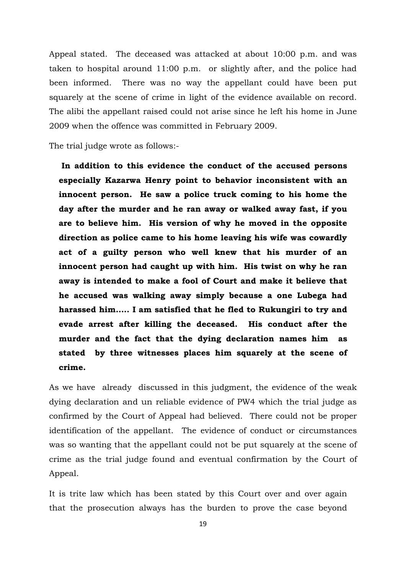Appeal stated. The deceased was attacked at about 10:00 p.m. and was taken to hospital around 11:00 p.m. or slightly after, and the police had been informed. There was no way the appellant could have been put squarely at the scene of crime in light of the evidence available on record. The alibi the appellant raised could not arise since he left his home in June 2009 when the offence was committed in February 2009.

The trial judge wrote as follows:-

**In addition to this evidence the conduct of the accused persons especially Kazarwa Henry point to behavior inconsistent with an innocent person. He saw a police truck coming to his home the day after the murder and he ran away or walked away fast, if you are to believe him. His version of why he moved in the opposite direction as police came to his home leaving his wife was cowardly act of a guilty person who well knew that his murder of an innocent person had caught up with him. His twist on why he ran away is intended to make a fool of Court and make it believe that he accused was walking away simply because a one Lubega had harassed him….. I am satisfied that he fled to Rukungiri to try and evade arrest after killing the deceased. His conduct after the murder and the fact that the dying declaration names him as stated by three witnesses places him squarely at the scene of crime.**

As we have already discussed in this judgment, the evidence of the weak dying declaration and un reliable evidence of PW4 which the trial judge as confirmed by the Court of Appeal had believed. There could not be proper identification of the appellant. The evidence of conduct or circumstances was so wanting that the appellant could not be put squarely at the scene of crime as the trial judge found and eventual confirmation by the Court of Appeal.

It is trite law which has been stated by this Court over and over again that the prosecution always has the burden to prove the case beyond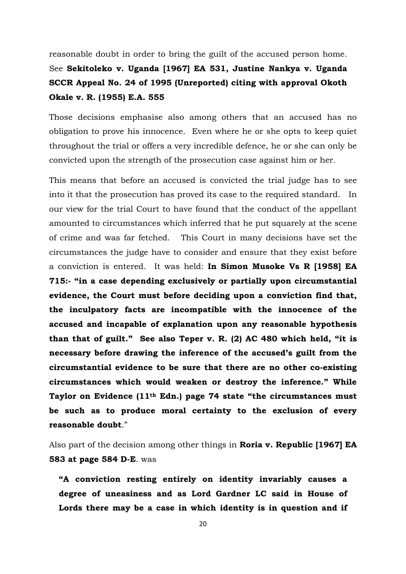reasonable doubt in order to bring the guilt of the accused person home. See **Sekitoleko v. Uganda [1967] EA 531, Justine Nankya v. Uganda SCCR Appeal No. 24 of 1995 (Unreported) citing with approval Okoth Okale v. R. (1955) E.A. 555** 

Those decisions emphasise also among others that an accused has no obligation to prove his innocence. Even where he or she opts to keep quiet throughout the trial or offers a very incredible defence, he or she can only be convicted upon the strength of the prosecution case against him or her.

This means that before an accused is convicted the trial judge has to see into it that the prosecution has proved its case to the required standard. In our view for the trial Court to have found that the conduct of the appellant amounted to circumstances which inferred that he put squarely at the scene of crime and was far fetched. This Court in many decisions have set the circumstances the judge have to consider and ensure that they exist before a conviction is entered. It was held: **In Simon Musoke Vs R [1958] EA 715:- "in a case depending exclusively or partially upon circumstantial evidence, the Court must before deciding upon a conviction find that, the inculpatory facts are incompatible with the innocence of the accused and incapable of explanation upon any reasonable hypothesis than that of guilt." See also Teper v. R. (2) AC 480 which held, "it is necessary before drawing the inference of the accused's guilt from the circumstantial evidence to be sure that there are no other co-existing circumstances which would weaken or destroy the inference." While Taylor on Evidence (11th Edn.) page 74 state "the circumstances must be such as to produce moral certainty to the exclusion of every reasonable doubt**."

Also part of the decision among other things in **Roria v. Republic [1967] EA 583 at page 584 D-E**. was

**"A conviction resting entirely on identity invariably causes a degree of uneasiness and as Lord Gardner LC said in House of Lords there may be a case in which identity is in question and if**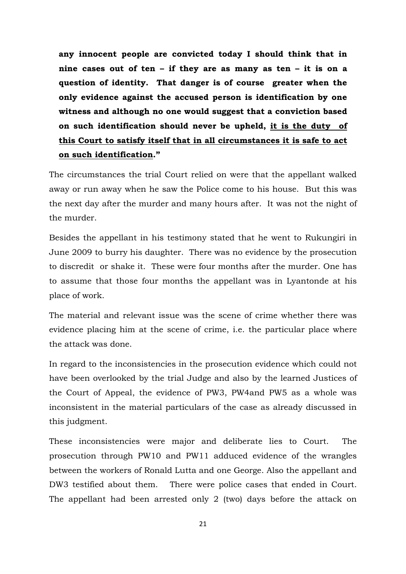**any innocent people are convicted today I should think that in nine cases out of ten – if they are as many as ten – it is on a question of identity. That danger is of course greater when the only evidence against the accused person is identification by one witness and although no one would suggest that a conviction based on such identification should never be upheld, it is the duty of this Court to satisfy itself that in all circumstances it is safe to act on such identification."**

The circumstances the trial Court relied on were that the appellant walked away or run away when he saw the Police come to his house. But this was the next day after the murder and many hours after. It was not the night of the murder.

Besides the appellant in his testimony stated that he went to Rukungiri in June 2009 to burry his daughter. There was no evidence by the prosecution to discredit or shake it. These were four months after the murder. One has to assume that those four months the appellant was in Lyantonde at his place of work.

The material and relevant issue was the scene of crime whether there was evidence placing him at the scene of crime, i.e. the particular place where the attack was done.

In regard to the inconsistencies in the prosecution evidence which could not have been overlooked by the trial Judge and also by the learned Justices of the Court of Appeal, the evidence of PW3, PW4and PW5 as a whole was inconsistent in the material particulars of the case as already discussed in this judgment.

These inconsistencies were major and deliberate lies to Court. The prosecution through PW10 and PW11 adduced evidence of the wrangles between the workers of Ronald Lutta and one George. Also the appellant and DW3 testified about them. There were police cases that ended in Court. The appellant had been arrested only 2 (two) days before the attack on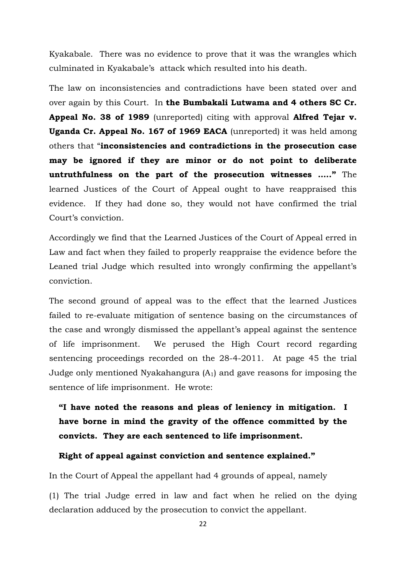Kyakabale. There was no evidence to prove that it was the wrangles which culminated in Kyakabale's attack which resulted into his death.

The law on inconsistencies and contradictions have been stated over and over again by this Court. In **the Bumbakali Lutwama and 4 others SC Cr. Appeal No. 38 of 1989** (unreported) citing with approval **Alfred Tejar v. Uganda Cr. Appeal No. 167 of 1969 EACA** (unreported) it was held among others that "**inconsistencies and contradictions in the prosecution case may be ignored if they are minor or do not point to deliberate untruthfulness on the part of the prosecution witnesses ….."** The learned Justices of the Court of Appeal ought to have reappraised this evidence. If they had done so, they would not have confirmed the trial Court's conviction.

Accordingly we find that the Learned Justices of the Court of Appeal erred in Law and fact when they failed to properly reappraise the evidence before the Leaned trial Judge which resulted into wrongly confirming the appellant's conviction.

The second ground of appeal was to the effect that the learned Justices failed to re-evaluate mitigation of sentence basing on the circumstances of the case and wrongly dismissed the appellant's appeal against the sentence of life imprisonment. We perused the High Court record regarding sentencing proceedings recorded on the 28-4-2011. At page 45 the trial Judge only mentioned Nyakahangura  $(A<sub>1</sub>)$  and gave reasons for imposing the sentence of life imprisonment. He wrote:

**"I have noted the reasons and pleas of leniency in mitigation. I have borne in mind the gravity of the offence committed by the convicts. They are each sentenced to life imprisonment.** 

#### **Right of appeal against conviction and sentence explained."**

In the Court of Appeal the appellant had 4 grounds of appeal, namely

(1) The trial Judge erred in law and fact when he relied on the dying declaration adduced by the prosecution to convict the appellant.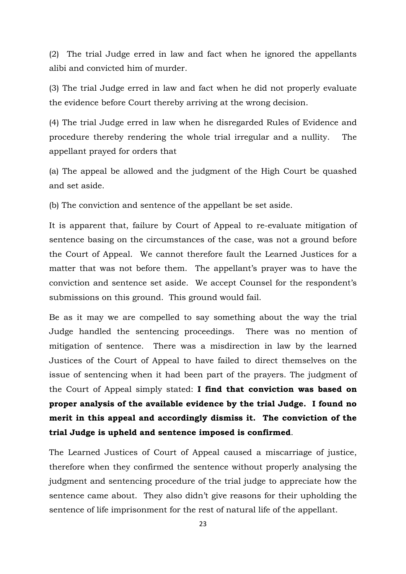(2) The trial Judge erred in law and fact when he ignored the appellants alibi and convicted him of murder.

(3) The trial Judge erred in law and fact when he did not properly evaluate the evidence before Court thereby arriving at the wrong decision.

(4) The trial Judge erred in law when he disregarded Rules of Evidence and procedure thereby rendering the whole trial irregular and a nullity. The appellant prayed for orders that

(a) The appeal be allowed and the judgment of the High Court be quashed and set aside.

(b) The conviction and sentence of the appellant be set aside.

It is apparent that, failure by Court of Appeal to re-evaluate mitigation of sentence basing on the circumstances of the case, was not a ground before the Court of Appeal. We cannot therefore fault the Learned Justices for a matter that was not before them. The appellant's prayer was to have the conviction and sentence set aside. We accept Counsel for the respondent's submissions on this ground. This ground would fail.

Be as it may we are compelled to say something about the way the trial Judge handled the sentencing proceedings. There was no mention of mitigation of sentence. There was a misdirection in law by the learned Justices of the Court of Appeal to have failed to direct themselves on the issue of sentencing when it had been part of the prayers. The judgment of the Court of Appeal simply stated: **I find that conviction was based on proper analysis of the available evidence by the trial Judge. I found no merit in this appeal and accordingly dismiss it. The conviction of the trial Judge is upheld and sentence imposed is confirmed**.

The Learned Justices of Court of Appeal caused a miscarriage of justice, therefore when they confirmed the sentence without properly analysing the judgment and sentencing procedure of the trial judge to appreciate how the sentence came about. They also didn't give reasons for their upholding the sentence of life imprisonment for the rest of natural life of the appellant.